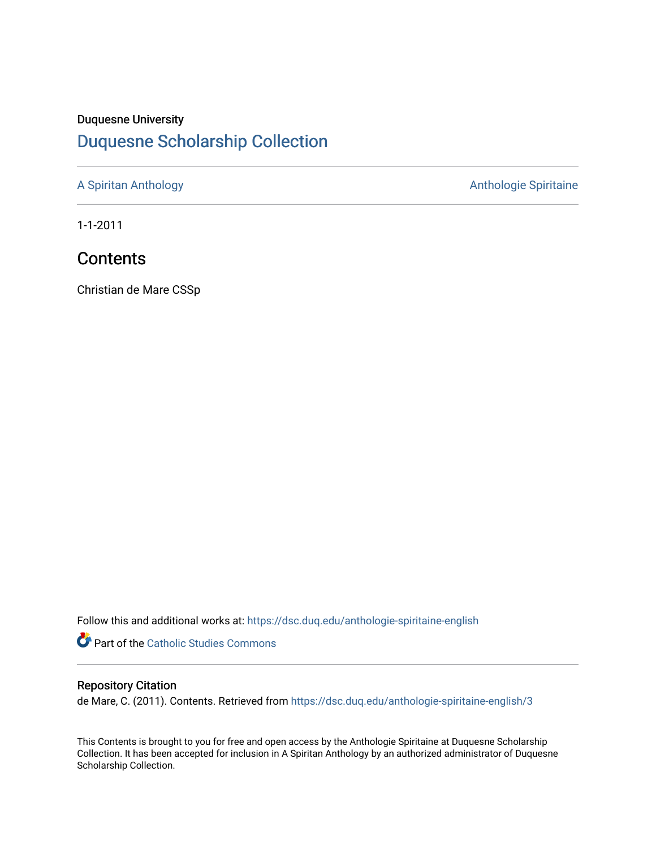## Duquesne University [Duquesne Scholarship Collection](https://dsc.duq.edu/)

[A Spiritan Anthology](https://dsc.duq.edu/anthologie-spiritaine-english) **Anthology** Anthologie Spiritaine

1-1-2011

## **Contents**

Christian de Mare CSSp

Follow this and additional works at: [https://dsc.duq.edu/anthologie-spiritaine-english](https://dsc.duq.edu/anthologie-spiritaine-english?utm_source=dsc.duq.edu%2Fanthologie-spiritaine-english%2F3&utm_medium=PDF&utm_campaign=PDFCoverPages)

**Part of the [Catholic Studies Commons](http://network.bepress.com/hgg/discipline/1294?utm_source=dsc.duq.edu%2Fanthologie-spiritaine-english%2F3&utm_medium=PDF&utm_campaign=PDFCoverPages)** 

## Repository Citation

de Mare, C. (2011). Contents. Retrieved from [https://dsc.duq.edu/anthologie-spiritaine-english/3](https://dsc.duq.edu/anthologie-spiritaine-english/3?utm_source=dsc.duq.edu%2Fanthologie-spiritaine-english%2F3&utm_medium=PDF&utm_campaign=PDFCoverPages) 

This Contents is brought to you for free and open access by the Anthologie Spiritaine at Duquesne Scholarship Collection. It has been accepted for inclusion in A Spiritan Anthology by an authorized administrator of Duquesne Scholarship Collection.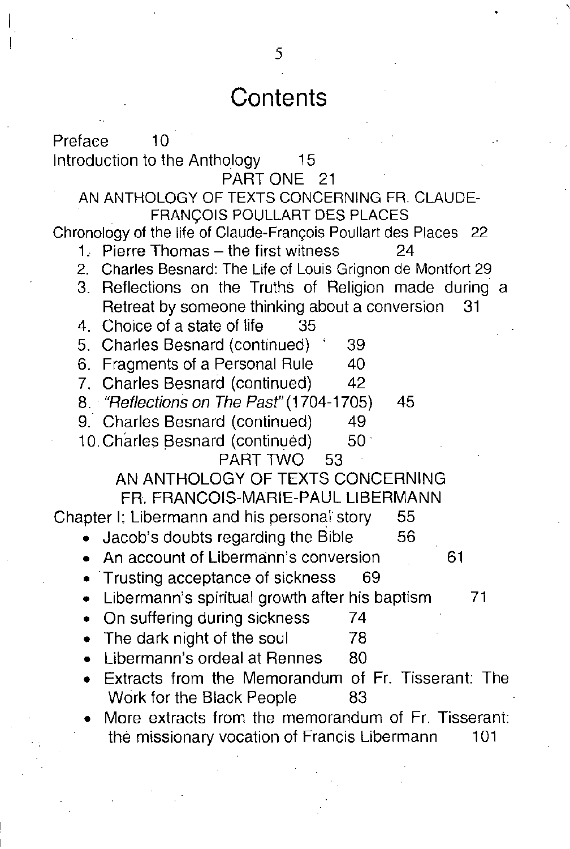## **Contents**

Preface 10 Introduction to the Anthology 15 PART ONE 21 AN ANTHOLOGY OF TEXTS CONCERNING FR. CLAUDE-FRANCOIS POULLART DES PLACES Chronology of the life of Claude-François Poullart des Places 22 1. Pierre Thomas – the first witness 24 2. Charles Besnard: The Life of Louis Grignon de Montfort 29 3. Reflections on the Truths of Religion made during a Retreat by someone thinking about a conversion 31 4. Choice of a state of life 35 5. Charles Besnard (continued) 39 6. Fragments of a Personal Rule 40 7. Charles Besnard (continued) 42 *8. "Reflections on The* Pasr'(1704-1705) 45 9. Charles Besnard (continued) 49 10. Charles Besnard (continued) 50 PART TWO 53 AN ANTHOLOGY OF TEXTS CONCERNING FA. FRANCOIS-MARiE-PAUL L1BERMANN Chapter I: Libermann and his personal story 55 • Jacob's doubts regarding the Bible 56 An account of Libermann's conversion 61 • Trusting acceptance of sickness 69 • Libermann's spiritual growth after his baptism 71 • On suffering during sickness 74 • The dark night of the soul 78 **Libermann's ordeal at Rennes** 80 • Extracts from the Memorandum of Fr. Tisserant: The Work for the Black People 83 • More extracts from the memorandum of Fr. Tisserant: the missionary vocation of Francis Libermann 101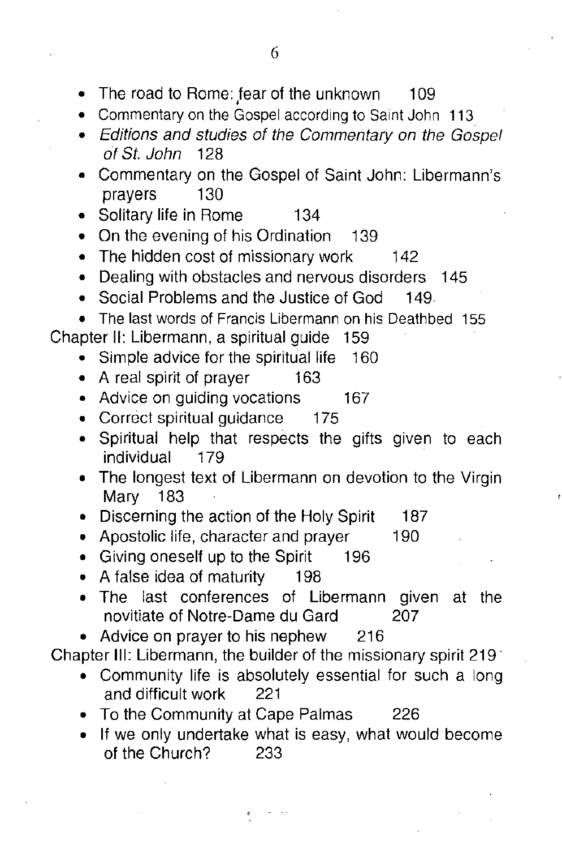- The road to Rome: tear of the unknown 109
- Commentary on the Gospel according to Saint John 113
- *• Editions and studies of the Commentary on the Gospel of St. John 128*
- Commentary on the Gospel of Saint John: Libermann's prayers 130
- Solitary life in Rome 134
- On the evening of his Ordination 139
- The hidden cost of missionary work 142
- Dealing with obstacles and nervous disorders 145
- Social Problems and the Justice of God 149.
- The last words of Francis Libermann on his Deathbed 155

Chapter II: Libermann, a spiritual guide 159

- Simple advice for the spiritual life 160
- A real spirit of prayer 163
- 167 • Advice on guiding vocations
- Correct spiritual quidance 175
- Spiritual help that respects the gifts given to each individual 179
- The longest text of Libermann on devotion to the Virgin Mary 183
- 187 • Discerning the action of the Holy Spirit
- 190 • Apostolic life, character and prayer
- Giving oneself up to the Spirit 196
- A false idea of maturity 198
- The last conferences of Libermann given at the novitiate of Notre-Dame du Gard 207
- Advice on prayer to his nephew 216

Chapter III: Libermann, the builder of the missionary spirit 219'

- Community life is absolutely essential for such a long and difficult work 221
- To the Community at Cape Palmas 226
- **• If** we only undertake what is easy, what would become of the Church? 233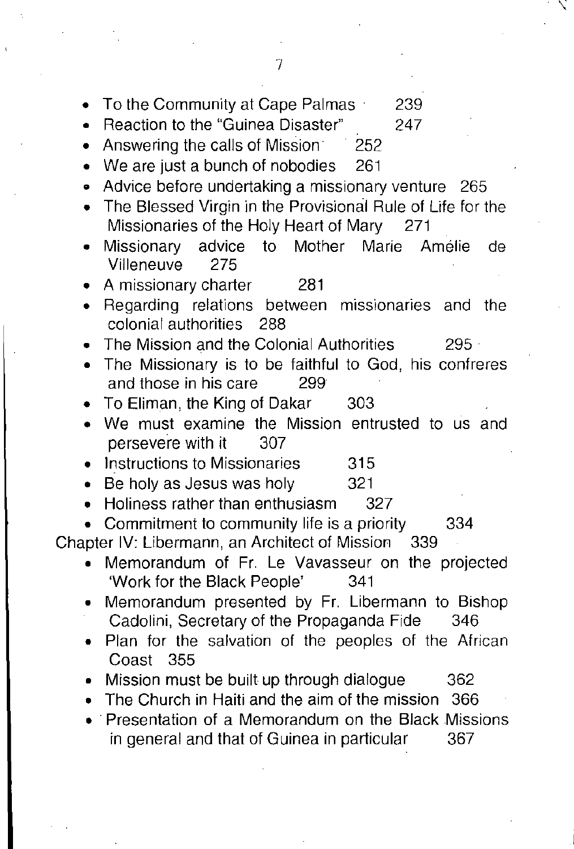| To the Community at Cape Palmas<br>239<br>Reaction to the "Guinea Disaster"<br>247<br>۰                          |
|------------------------------------------------------------------------------------------------------------------|
| Answering the calls of Mission<br>252<br>٠                                                                       |
| We are just a bunch of nobodies<br>261<br>$\bullet$                                                              |
| Advice before undertaking a missionary venture<br>- 265<br>٠                                                     |
| The Blessed Virgin in the Provisional Rule of Life for the<br>۰<br>Missionaries of the Holy Heart of Mary<br>271 |
| advice to Mother Marie Amélie<br>Missionary<br>de<br>٠<br>275<br>Villeneuve                                      |
| A missionary charter<br>281                                                                                      |
| Regarding relations between missionaries<br>and<br>the<br>colonial authorities<br>-288                           |
| The Mission and the Colonial Authorities<br>$295 -$<br>The Missionary is to be faithful to God, his confreres    |
| and those in his care<br>299                                                                                     |
| To Eliman, the King of Dakar<br>303                                                                              |
| We must examine the Mission entrusted to us and<br>persevere with it<br>307                                      |
| Instructions to Missionaries<br>315                                                                              |
| Be holy as Jesus was holy<br>321<br>۰                                                                            |
| Holiness rather than enthusiasm<br>327                                                                           |
| Commitment to community life is a priority<br>334                                                                |
| Chapter IV: Libermann, an Architect of Mission<br>339                                                            |
| Memorandum of Fr. Le Vavasseur on the projected<br>'Work for the Black People'<br>341                            |
| Memorandum presented by Fr. Libermann to Bishop<br>Cadolini, Secretary of the Propaganda Fide<br>346             |
| Plan for the salvation of the peoples of the African<br>Coast 355                                                |
| Mission must be built up through dialogue<br>362                                                                 |
| The Church in Haiti and the aim of the mission<br>366                                                            |
| Presentation of a Memorandum on the Black Missions<br>in general and that of Guinea in particular<br>367         |
|                                                                                                                  |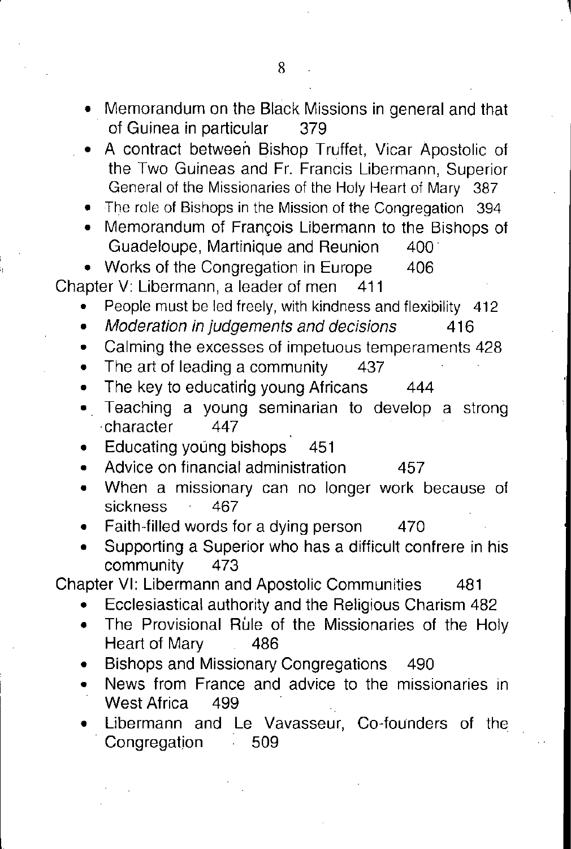- Memorandum on the Black Missions in general and that of Guinea in particular 379
- A contract between Bishop Truffet, Vicar Apostolic of the Two Guineas and Fr. Francis Libermann, Superior General of the Missionaries of the Holy Heart of Mary 387
- The role of Bishops in the Mission of the Congregation 394
- Memorandum of Francois Libermann to the Bishops of Guadeloupe, Martinique and Reunion 400·

• Works of the Congregation in Europe 406 Chapter V: Libermann, a leader of men 411

- People must be led freely, with kindness and flexibility 412
- *• Moderation in judgements and decisions 416*
- Calming the excesses of impetuous temperaments 428
- The art of leading a community 437
- The key to educating young Africans 444
- Teaching a young seminarian to develop a strong ·character 447
- Educating young bishops 451
- Advice on financial administration 457
- When a missionary can no longer work because of sickness 467
- Faith-filled words for a dying person 470
- Supporting a Superior who has a difficult confrere in his community 473

Chapter VI: Libermann and Apostolic Communities 481

- Ecclesiastical authority and the Religious Charism 482
- The Provisional Rule of the Missionaries of the Holy Heart of Mary 486
- Bishops and Missionary Congregations 490
- News from France and advice to the missionaries in West Africa 499
- Libermann and Le Vavasseur, Co-founders of the Congregation 509